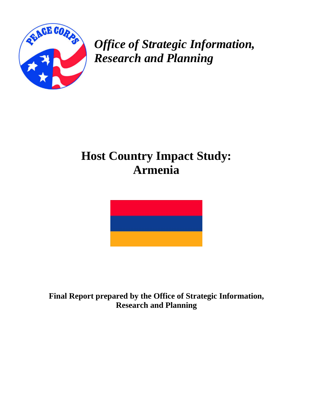

*Office of Strategic Information, Research and Planning* 

# **Host Country Impact Study: Armenia**



**Final Report prepared by the Office of Strategic Information, Research and Planning**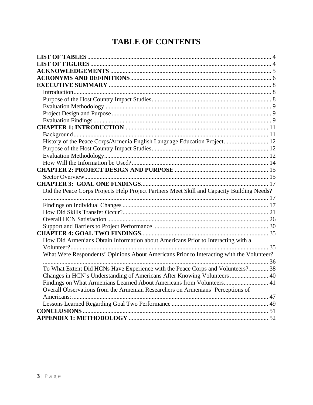# **TABLE OF CONTENTS**

| History of the Peace Corps/Armenia English Language Education Project 12                   |  |
|--------------------------------------------------------------------------------------------|--|
|                                                                                            |  |
|                                                                                            |  |
|                                                                                            |  |
|                                                                                            |  |
|                                                                                            |  |
|                                                                                            |  |
| Did the Peace Corps Projects Help Project Partners Meet Skill and Capacity Building Needs? |  |
|                                                                                            |  |
|                                                                                            |  |
|                                                                                            |  |
|                                                                                            |  |
|                                                                                            |  |
|                                                                                            |  |
| How Did Armenians Obtain Information about Americans Prior to Interacting with a           |  |
|                                                                                            |  |
| What Were Respondents' Opinions About Americans Prior to Interacting with the Volunteer?   |  |
|                                                                                            |  |
| To What Extent Did HCNs Have Experience with the Peace Corps and Volunteers? 38            |  |
| Changes in HCN's Understanding of Americans After Knowing Volunteers  40                   |  |
| Findings on What Armenians Learned About Americans from Volunteers 41                      |  |
| Overall Observations from the Armenian Researchers on Armenians' Perceptions of            |  |
|                                                                                            |  |
|                                                                                            |  |
| <b>CONCLUSIONS</b>                                                                         |  |
|                                                                                            |  |
|                                                                                            |  |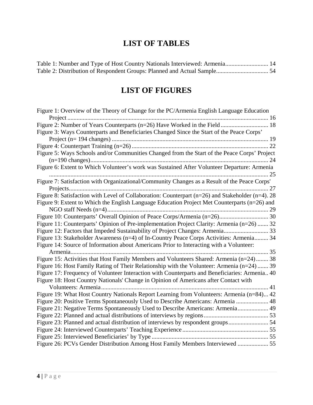# **LIST OF TABLES**

<span id="page-3-0"></span>

| Table 1: Number and Type of Host Country Nationals Interviewed: Armenia 14 |  |
|----------------------------------------------------------------------------|--|
|                                                                            |  |

# **LIST OF FIGURES**

| Figure 1: Overview of the Theory of Change for the PC/Armenia English Language Education         |
|--------------------------------------------------------------------------------------------------|
|                                                                                                  |
|                                                                                                  |
| Figure 3: Ways Counterparts and Beneficiaries Changed Since the Start of the Peace Corps'        |
|                                                                                                  |
|                                                                                                  |
| Figure 5: Ways Schools and/or Communities Changed from the Start of the Peace Corps' Project     |
|                                                                                                  |
| Figure 6: Extent to Which Volunteer's work was Sustained After Volunteer Departure: Armenia      |
| .25                                                                                              |
| Figure 7: Satisfaction with Organizational/Community Changes as a Result of the Peace Corps'     |
|                                                                                                  |
| Figure 8: Satisfaction with Level of Collaboration: Counterpart (n=26) and Stakeholder (n=4). 28 |
| Figure 9: Extent to Which the English Language Education Project Met Counterparts (n=26) and     |
|                                                                                                  |
|                                                                                                  |
| Figure 11: Counterparts' Opinion of Pre-implementation Project Clarity: Armenia (n=26)  32       |
| Figure 12: Factors that Impeded Sustainability of Project Changes: Armenia 33                    |
| Figure 13: Stakeholder Awareness (n=4) of In-Country Peace Corps Activities: Armenia 34          |
| Figure 14: Source of Information about Americans Prior to Interacting with a Volunteer:          |
| 35<br>Armenia                                                                                    |
| Figure 15: Activities that Host Family Members and Volunteers Shared: Armenia (n=24) 38          |
| Figure 16: Host Family Rating of Their Relationship with the Volunteer: Armenia (n=24)  39       |
| Figure 17: Frequency of Volunteer Interaction with Counterparts and Beneficiaries: Armenia 40    |
| Figure 18: Host Country Nationals' Change in Opinion of Americans after Contact with             |
| 41                                                                                               |
| Figure 19: What Host Country Nationals Report Learning from Volunteers: Armenia (n=84) 42        |
| Figure 20: Positive Terms Spontaneously Used to Describe Americans: Armenia  48                  |
| Figure 21: Negative Terms Spontaneously Used to Describe Americans: Armenia 49                   |
|                                                                                                  |
| Figure 23: Planned and actual distribution of interviews by respondent groups 54                 |
|                                                                                                  |
|                                                                                                  |
| Figure 26: PCVs Gender Distribution Among Host Family Members Interviewed  55                    |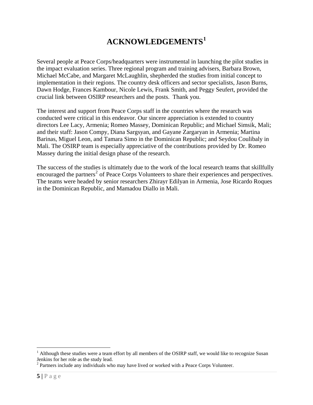# **ACKNOWLEDGEMENTS[1](#page-4-1)**

<span id="page-4-0"></span>Several people at Peace Corps/headquarters were instrumental in launching the pilot studies in the impact evaluation series. Three regional program and training advisers, Barbara Brown, Michael McCabe, and Margaret McLaughlin, shepherded the studies from initial concept to implementation in their regions. The country desk officers and sector specialists, Jason Burns, Dawn Hodge, Frances Kambour, Nicole Lewis, Frank Smith, and Peggy Seufert, provided the crucial link between OSIRP researchers and the posts. Thank you.

The interest and support from Peace Corps staff in the countries where the research was conducted were critical in this endeavor. Our sincere appreciation is extended to country directors Lee Lacy, Armenia; Romeo Massey, Dominican Republic; and Michael Simsik, Mali; and their staff: Jason Compy, Diana Sargsyan, and Gayane Zargaryan in Armenia; Martina Barinas, Miguel Leon, and Tamara Simo in the Dominican Republic; and Seydou Coulibaly in Mali. The OSIRP team is especially appreciative of the contributions provided by Dr. Romeo Massey during the initial design phase of the research.

The success of the studies is ultimately due to the work of the local research teams that skillfully encouraged the partners<sup>[2](#page-4-2)</sup> of Peace Corps Volunteers to share their experiences and perspectives. The teams were headed by senior researchers Zhirayr Edilyan in Armenia, Jose Ricardo Roques in the Dominican Republic, and Mamadou Diallo in Mali.

 $\overline{a}$ 

<span id="page-4-1"></span><sup>&</sup>lt;sup>1</sup> Although these studies were a team effort by all members of the OSIRP staff, we would like to recognize Susan Jenkins for her role as the study lead.

<span id="page-4-2"></span> $2$  Partners include any individuals who may have lived or worked with a Peace Corps Volunteer.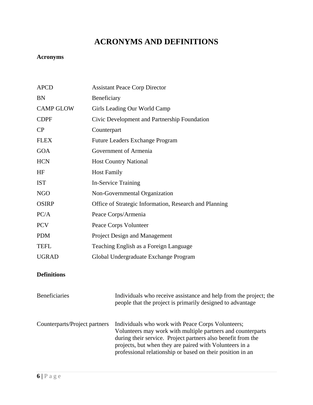# **ACRONYMS AND DEFINITIONS**

# <span id="page-5-0"></span>**Acronyms**

| <b>APCD</b>                   | <b>Assistant Peace Corp Director</b>                   |                                                                                                                                                                                                                                                                                                           |  |  |
|-------------------------------|--------------------------------------------------------|-----------------------------------------------------------------------------------------------------------------------------------------------------------------------------------------------------------------------------------------------------------------------------------------------------------|--|--|
| <b>BN</b>                     | Beneficiary                                            |                                                                                                                                                                                                                                                                                                           |  |  |
| <b>CAMP GLOW</b>              | Girls Leading Our World Camp                           |                                                                                                                                                                                                                                                                                                           |  |  |
| <b>CDPF</b>                   | Civic Development and Partnership Foundation           |                                                                                                                                                                                                                                                                                                           |  |  |
| CP                            | Counterpart                                            |                                                                                                                                                                                                                                                                                                           |  |  |
| <b>FLEX</b>                   | Future Leaders Exchange Program                        |                                                                                                                                                                                                                                                                                                           |  |  |
| <b>GOA</b>                    |                                                        | Government of Armenia                                                                                                                                                                                                                                                                                     |  |  |
| <b>HCN</b>                    |                                                        | <b>Host Country National</b>                                                                                                                                                                                                                                                                              |  |  |
| HF                            | <b>Host Family</b>                                     |                                                                                                                                                                                                                                                                                                           |  |  |
| <b>IST</b>                    | <b>In-Service Training</b>                             |                                                                                                                                                                                                                                                                                                           |  |  |
| <b>NGO</b>                    | Non-Governmental Organization                          |                                                                                                                                                                                                                                                                                                           |  |  |
| <b>OSIRP</b>                  | Office of Strategic Information, Research and Planning |                                                                                                                                                                                                                                                                                                           |  |  |
| PC/A                          | Peace Corps/Armenia                                    |                                                                                                                                                                                                                                                                                                           |  |  |
| <b>PCV</b>                    | Peace Corps Volunteer                                  |                                                                                                                                                                                                                                                                                                           |  |  |
| <b>PDM</b>                    | Project Design and Management                          |                                                                                                                                                                                                                                                                                                           |  |  |
| <b>TEFL</b>                   | Teaching English as a Foreign Language                 |                                                                                                                                                                                                                                                                                                           |  |  |
| <b>UGRAD</b>                  | Global Undergraduate Exchange Program                  |                                                                                                                                                                                                                                                                                                           |  |  |
| <b>Definitions</b>            |                                                        |                                                                                                                                                                                                                                                                                                           |  |  |
| <b>Beneficiaries</b>          |                                                        | Individuals who receive assistance and help from the project; the<br>people that the project is primarily designed to advantage                                                                                                                                                                           |  |  |
| Counterparts/Project partners |                                                        | Individuals who work with Peace Corps Volunteers;<br>Volunteers may work with multiple partners and counterparts<br>during their service. Project partners also benefit from the<br>projects, but when they are paired with Volunteers in a<br>professional relationship or based on their position in an |  |  |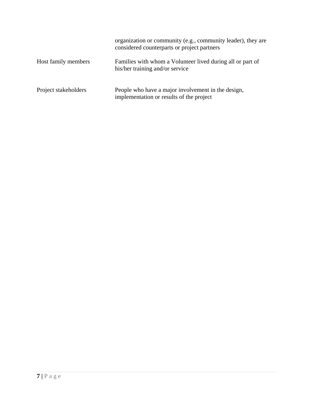|                      | organization or community (e.g., community leader), they are<br>considered counterparts or project partners |
|----------------------|-------------------------------------------------------------------------------------------------------------|
| Host family members  | Families with whom a Volunteer lived during all or part of<br>his/her training and/or service               |
| Project stakeholders | People who have a major involvement in the design,<br>implementation or results of the project              |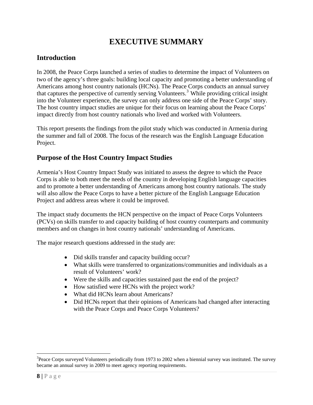# **EXECUTIVE SUMMARY**

### <span id="page-7-0"></span>**Introduction**

In 2008, the Peace Corps launched a series of studies to determine the impact of Volunteers on two of the agency's three goals: building local capacity and promoting a better understanding of Americans among host country nationals (HCNs). The Peace Corps conducts an annual survey that captures the perspective of currently serving Volunteers.<sup>[3](#page-7-1)</sup> While providing critical insight into the Volunteer experience, the survey can only address one side of the Peace Corps' story. The host country impact studies are unique for their focus on learning about the Peace Corps' impact directly from host country nationals who lived and worked with Volunteers.

This report presents the findings from the pilot study which was conducted in Armenia during the summer and fall of 2008. The focus of the research was the English Language Education Project.

### **Purpose of the Host Country Impact Studies**

Armenia's Host Country Impact Study was initiated to assess the degree to which the Peace Corps is able to both meet the needs of the country in developing English language capacities and to promote a better understanding of Americans among host country nationals. The study will also allow the Peace Corps to have a better picture of the English Language Education Project and address areas where it could be improved.

The impact study documents the HCN perspective on the impact of Peace Corps Volunteers (PCVs) on skills transfer to and capacity building of host country counterparts and community members and on changes in host country nationals' understanding of Americans.

The major research questions addressed in the study are:

- Did skills transfer and capacity building occur?
- What skills were transferred to organizations/communities and individuals as a result of Volunteers' work?
- Were the skills and capacities sustained past the end of the project?
- How satisfied were HCNs with the project work?
- What did HCNs learn about Americans?
- Did HCNs report that their opinions of Americans had changed after interacting with the Peace Corps and Peace Corps Volunteers?

 $\overline{a}$ 

<span id="page-7-1"></span> $3$ Peace Corps surveyed Volunteers periodically from 1973 to 2002 when a biennial survey was instituted. The survey became an annual survey in 2009 to meet agency reporting requirements.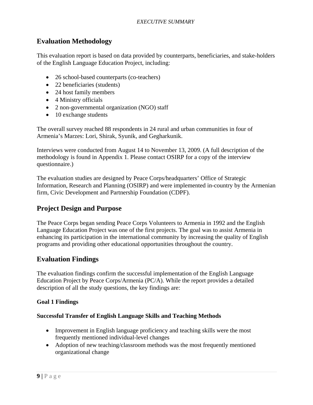### <span id="page-8-0"></span>**Evaluation Methodology**

This evaluation report is based on data provided by counterparts, beneficiaries, and stake-holders of the English Language Education Project, including:

- 26 school-based counterparts (co-teachers)
- 22 beneficiaries (students)
- 24 host family members
- 4 Ministry officials
- 2 non-governmental organization (NGO) staff
- 10 exchange students

The overall survey reached 88 respondents in 24 rural and urban communities in four of Armenia's Marzes: Lori, Shirak, Syunik, and Gegharkunik.

Interviews were conducted from August 14 to November 13, 2009. (A full description of the methodology is found in Appendix 1. Please contact OSIRP for a copy of the interview questionnaire.)

The evaluation studies are designed by Peace Corps/headquarters' Office of Strategic Information, Research and Planning (OSIRP) and were implemented in-country by the Armenian firm, Civic Development and Partnership Foundation (CDPF).

### **Project Design and Purpose**

The Peace Corps began sending Peace Corps Volunteers to Armenia in 1992 and the English Language Education Project was one of the first projects. The goal was to assist Armenia in enhancing its participation in the international community by increasing the quality of English programs and providing other educational opportunities throughout the country.

### **Evaluation Findings**

The evaluation findings confirm the successful implementation of the English Language Education Project by Peace Corps/Armenia (PC/A). While the report provides a detailed description of all the study questions, the key findings are:

### **Goal 1 Findings**

#### **Successful Transfer of English Language Skills and Teaching Methods**

- Improvement in English language proficiency and teaching skills were the most frequently mentioned individual-level changes
- Adoption of new teaching/classroom methods was the most frequently mentioned organizational change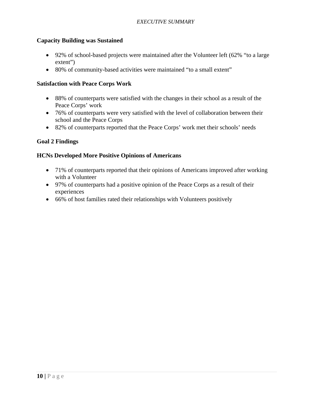### **Capacity Building was Sustained**

- 92% of school-based projects were maintained after the Volunteer left (62% "to a large extent")
- 80% of community-based activities were maintained "to a small extent"

### **Satisfaction with Peace Corps Work**

- 88% of counterparts were satisfied with the changes in their school as a result of the Peace Corps' work
- 76% of counterparts were very satisfied with the level of collaboration between their school and the Peace Corps
- 82% of counterparts reported that the Peace Corps' work met their schools' needs

### **Goal 2 Findings**

### **HCNs Developed More Positive Opinions of Americans**

- 71% of counterparts reported that their opinions of Americans improved after working with a Volunteer
- 97% of counterparts had a positive opinion of the Peace Corps as a result of their experiences
- 66% of host families rated their relationships with Volunteers positively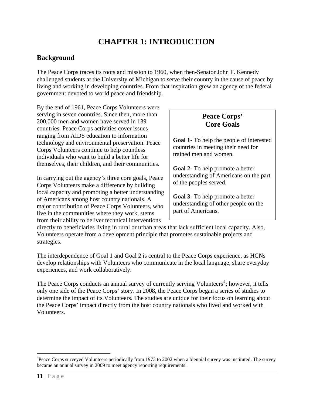# **CHAPTER 1: INTRODUCTION**

### <span id="page-10-0"></span>**Background**

The Peace Corps traces its roots and mission to 1960, when then-Senator John F. Kennedy challenged students at the University of Michigan to serve their country in the cause of peace by living and working in developing countries. From that inspiration grew an agency of the federal government devoted to world peace and friendship.

By the end of 1961, Peace Corps Volunteers were serving in seven countries. Since then, more than 200,000 men and women have served in 139 countries. Peace Corps activities cover issues ranging from AIDS education to information technology and environmental preservation. Peace Corps Volunteers continue to help countless individuals who want to build a better life for themselves, their children, and their communities.

In carrying out the agency's three core goals, Peace Corps Volunteers make a difference by building local capacity and promoting a better understanding of Americans among host country nationals. A major contribution of Peace Corps Volunteers, who live in the communities where they work, stems from their ability to deliver technical interventions

### **Peace Corps' Core Goals**

**Goal 1**- To help the people of interested countries in meeting their need for trained men and women.

**Goal 2**- To help promote a better understanding of Americans on the part of the peoples served.

**Goal 3**- To help promote a better understanding of other people on the part of Americans.

directly to beneficiaries living in rural or urban areas that lack sufficient local capacity. Also, Volunteers operate from a development principle that promotes sustainable projects and strategies.

The interdependence of Goal 1 and Goal 2 is central to the Peace Corps experience, as HCNs develop relationships with Volunteers who communicate in the local language, share everyday experiences, and work collaboratively.

The Peace Corps conducts an annual survey of currently serving Volunteers<sup>[4](#page-10-1)</sup>; however, it tells only one side of the Peace Corps' story. In 2008, the Peace Corps began a series of studies to determine the impact of its Volunteers. The studies are unique for their focus on learning about the Peace Corps' impact directly from the host country nationals who lived and worked with Volunteers.

 $\overline{a}$ 

<span id="page-10-1"></span><sup>&</sup>lt;sup>4</sup>Peace Corps surveyed Volunteers periodically from 1973 to 2002 when a biennial survey was instituted. The survey became an annual survey in 2009 to meet agency reporting requirements.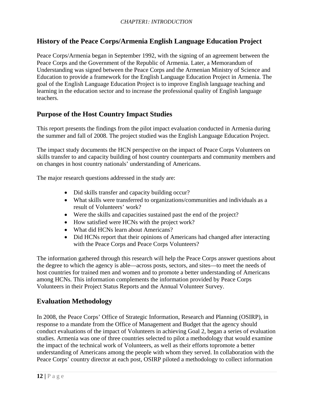### <span id="page-11-0"></span>**History of the Peace Corps/Armenia English Language Education Project**

Peace Corps/Armenia began in September 1992, with the signing of an agreement between the Peace Corps and the Government of the Republic of Armenia. Later, a Memorandum of Understanding was signed between the Peace Corps and the Armenian Ministry of Science and Education to provide a framework for the English Language Education Project in Armenia. The goal of the English Language Education Project is to improve English language teaching and learning in the education sector and to increase the professional quality of English language teachers.

### **Purpose of the Host Country Impact Studies**

This report presents the findings from the pilot impact evaluation conducted in Armenia during the summer and fall of 2008. The project studied was the English Language Education Project.

The impact study documents the HCN perspective on the impact of Peace Corps Volunteers on skills transfer to and capacity building of host country counterparts and community members and on changes in host country nationals' understanding of Americans.

The major research questions addressed in the study are:

- Did skills transfer and capacity building occur?
- What skills were transferred to organizations/communities and individuals as a result of Volunteers' work?
- Were the skills and capacities sustained past the end of the project?
- How satisfied were HCNs with the project work?
- What did HCNs learn about Americans?
- Did HCNs report that their opinions of Americans had changed after interacting with the Peace Corps and Peace Corps Volunteers?

The information gathered through this research will help the Peace Corps answer questions about the degree to which the agency is able—across posts, sectors, and sites—to meet the needs of host countries for trained men and women and to promote a better understanding of Americans among HCNs. This information complements the information provided by Peace Corps Volunteers in their Project Status Reports and the Annual Volunteer Survey.

### **Evaluation Methodology**

In 2008, the Peace Corps' Office of Strategic Information, Research and Planning (OSIRP), in response to a mandate from the Office of Management and Budget that the agency should conduct evaluations of the impact of Volunteers in achieving Goal 2, began a series of evaluation studies. Armenia was one of three countries selected to pilot a methodology that would examine the impact of the technical work of Volunteers, as well as their efforts topromote a better understanding of Americans among the people with whom they served. In collaboration with the Peace Corps' country director at each post, OSIRP piloted a methodology to collect information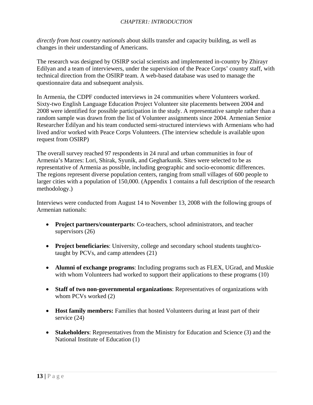*directly from host country nationals* about skills transfer and capacity building, as well as changes in their understanding of Americans.

The research was designed by OSIRP social scientists and implemented in-country by Zhirayr Edilyan and a team of interviewers, under the supervision of the Peace Corps' country staff, with technical direction from the OSIRP team. A web-based database was used to manage the questionnaire data and subsequent analysis.

In Armenia, the CDPF conducted interviews in 24 communities where Volunteers worked. Sixty-two English Language Education Project Volunteer site placements between 2004 and 2008 were identified for possible participation in the study. A representative sample rather than a random sample was drawn from the list of Volunteer assignments since 2004. Armenian Senior Researcher Edilyan and his team conducted semi-structured interviews with Armenians who had lived and/or worked with Peace Corps Volunteers. (The interview schedule is available upon request from OSIRP)

The overall survey reached 97 respondents in 24 rural and urban communities in four of Armenia's Marzes: Lori, Shirak, Syunik, and Gegharkunik. Sites were selected to be as representative of Armenia as possible, including geographic and socio-economic differences. The regions represent diverse population centers, ranging from small villages of 600 people to larger cities with a population of 150,000. (Appendix 1 contains a full description of the research methodology.)

Interviews were conducted from August 14 to November 13, 2008 with the following groups of Armenian nationals:

- **Project partners/counterparts**: Co-teachers, school administrators, and teacher supervisors (26)
- **Project beneficiaries**: University, college and secondary school students taught/cotaught by PCVs, and camp attendees (21)
- **Alumni of exchange programs**: Including programs such as FLEX, UGrad, and Muskie with whom Volunteers had worked to support their applications to these programs (10)
- **Staff of two non-governmental organizations**: Representatives of organizations with whom PCVs worked (2)
- **Host family members:** Families that hosted Volunteers during at least part of their service (24)
- **Stakeholders**: Representatives from the Ministry for Education and Science (3) and the National Institute of Education (1)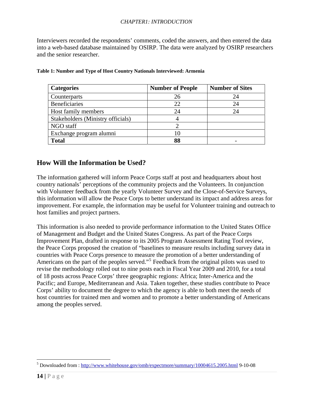#### *CHAPTER1: INTRODUCTION*

<span id="page-13-0"></span>Interviewers recorded the respondents' comments, coded the answers, and then entered the data into a web-based database maintained by OSIRP. The data were analyzed by OSIRP researchers and the senior researcher.

| <b>Categories</b>                 | <b>Number of People</b> | <b>Number of Sites</b> |
|-----------------------------------|-------------------------|------------------------|
| Counterparts                      | 26                      | 24                     |
| <b>Beneficiaries</b>              | 22                      | 24                     |
| Host family members               | 24                      | 24                     |
| Stakeholders (Ministry officials) |                         |                        |
| NGO staff                         |                         |                        |
| Exchange program alumni           |                         |                        |
| <b>Total</b>                      | 88                      |                        |

|  |  |  | Table 1: Number and Type of Host Country Nationals Interviewed: Armenia |  |
|--|--|--|-------------------------------------------------------------------------|--|
|  |  |  |                                                                         |  |

### **How Will the Information be Used?**

The information gathered will inform Peace Corps staff at post and headquarters about host country nationals' perceptions of the community projects and the Volunteers. In conjunction with Volunteer feedback from the yearly Volunteer Survey and the Close-of-Service Surveys, this information will allow the Peace Corps to better understand its impact and address areas for improvement. For example, the information may be useful for Volunteer training and outreach to host families and project partners.

This information is also needed to provide performance information to the United States Office of Management and Budget and the United States Congress. As part of the Peace Corps Improvement Plan, drafted in response to its 2005 Program Assessment Rating Tool review, the Peace Corps proposed the creation of "baselines to measure results including survey data in countries with Peace Corps presence to measure the promotion of a better understanding of Americans on the part of the peoples served."<sup>[5](#page-13-1)</sup> Feedback from the original pilots was used to revise the methodology rolled out to nine posts each in Fiscal Year 2009 and 2010, for a total of 18 posts across Peace Corps' three geographic regions: Africa; Inter-America and the Pacific; and Europe, Mediterranean and Asia. Taken together, these studies contribute to Peace Corps' ability to document the degree to which the agency is able to both meet the needs of host countries for trained men and women and to promote a better understanding of Americans among the peoples served.

 $\overline{a}$ 

<span id="page-13-1"></span><sup>&</sup>lt;sup>5</sup> Downloaded from : <http://www.whitehouse.gov/omb/expectmore/summary/10004615.2005.html>9-10-08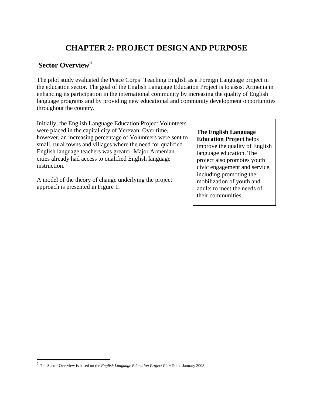# **CHAPTER 2: PROJECT DESIGN AND PURPOSE**

### <span id="page-14-0"></span>**Sector Overview<sup>[6](#page-14-1)</sup>**

The pilot study evaluated the Peace Corps' Teaching English as a Foreign Language project in the education sector. The goal of the English Language Education Project is to assist Armenia in enhancing its participation in the international community by increasing the quality of English language programs and by providing new educational and community development opportunities throughout the country.

Initially, the English Language Education Project Volunteers were placed in the capital city of Yerevan. Over time, however, an increasing percentage of Volunteers were sent to small, rural towns and villages where the need for qualified English language teachers was greater. Major Armenian cities already had access to qualified English language instruction.

A model of the theory of change underlying the project approach is presented in Figure 1.

**The English Language Education Project** helps

improve the quality of English language education. The project also promotes youth civic engagement and service, including promoting the mobilization of youth and adults to meet the needs of their communities.

 $\overline{a}$ 

<span id="page-14-1"></span><sup>6</sup> The Sector Overview is based on the *English Language Education Project Plan* Dated January 2008.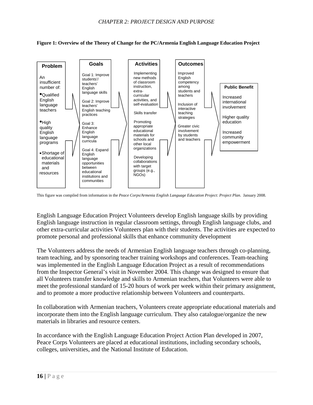<span id="page-15-0"></span>**Figure 1: Overview of the Theory of Change for the PC/Armenia English Language Education Project** 



This figure was compiled from information in the *Peace Corps/Armenia English Language Education Project: Project Plan*. January 2008.

English Language Education Project Volunteers develop English language skills by providing English language instruction in regular classroom settings, through English language clubs, and other extra-curricular activities Volunteers plan with their students. The activities are expected to promote personal and professional skills that enhance community development

The Volunteers address the needs of Armenian English language teachers through co-planning, team teaching, and by sponsoring teacher training workshops and conferences. Team-teaching was implemented in the English Language Education Project as a result of recommendations from the Inspector General's visit in November 2004. This change was designed to ensure that all Volunteers transfer knowledge and skills to Armenian teachers, that Volunteers were able to meet the professional standard of 15-20 hours of work per week within their primary assignment, and to promote a more productive relationship between Volunteers and counterparts.

In collaboration with Armenian teachers, Volunteers create appropriate educational materials and incorporate them into the English language curriculum. They also catalogue/organize the new materials in libraries and resource centers.

In accordance with the English Language Education Project Action Plan developed in 2007, Peace Corps Volunteers are placed at educational institutions, including secondary schools, colleges, universities, and the National Institute of Education.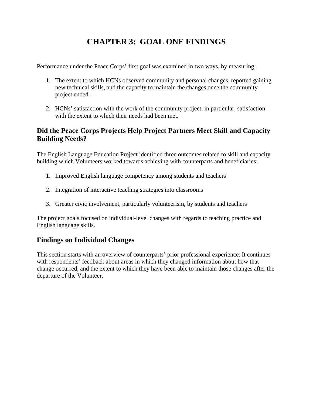# **CHAPTER 3: GOAL ONE FINDINGS**

<span id="page-16-0"></span>Performance under the Peace Corps' first goal was examined in two ways, by measuring:

- 1. The extent to which HCNs observed community and personal changes, reported gaining new technical skills, and the capacity to maintain the changes once the community project ended.
- 2. HCNs' satisfaction with the work of the community project, in particular, satisfaction with the extent to which their needs had been met.

### **Did the Peace Corps Projects Help Project Partners Meet Skill and Capacity Building Needs?**

The English Language Education Project identified three outcomes related to skill and capacity building which Volunteers worked towards achieving with counterparts and beneficiaries:

- 1. Improved English language competency among students and teachers
- 2. Integration of interactive teaching strategies into classrooms
- 3. Greater civic involvement, particularly volunteerism, by students and teachers

The project goals focused on individual-level changes with regards to teaching practice and English language skills.

### **Findings on Individual Changes**

This section starts with an overview of counterparts' prior professional experience. It continues with respondents' feedback about areas in which they changed information about how that change occurred, and the extent to which they have been able to maintain those changes after the departure of the Volunteer.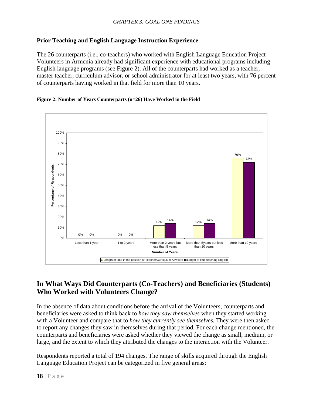### <span id="page-17-0"></span>**Prior Teaching and English Language Instruction Experience**

The 26 counterparts (i.e., co-teachers) who worked with English Language Education Project Volunteers in Armenia already had significant experience with educational programs including English language programs (see Figure 2). All of the counterparts had worked as a teacher, master teacher, curriculum advisor, or school administrator for at least two years, with 76 percent of counterparts having worked in that field for more than 10 years.





### **In What Ways Did Counterparts (Co-Teachers) and Beneficiaries (Students) Who Worked with Volunteers Change?**

In the absence of data about conditions before the arrival of the Volunteers, counterparts and beneficiaries were asked to think back to *how they saw themselves* when they started working with a Volunteer and compare that to *how they currently see themselves.* They were then asked to report any changes they saw in themselves during that period. For each change mentioned, the counterparts and beneficiaries were asked whether they viewed the change as small, medium, or large, and the extent to which they attributed the changes to the interaction with the Volunteer.

Respondents reported a total of 194 changes. The range of skills acquired through the English Language Education Project can be categorized in five general areas: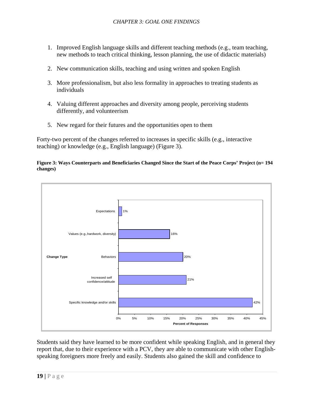- <span id="page-18-0"></span>1. Improved English language skills and different teaching methods (e.g., team teaching, new methods to teach critical thinking, lesson planning, the use of didactic materials)
- 2. New communication skills, teaching and using written and spoken English
- individuals 3. More professionalism, but also less formality in approaches to treating students as
- 4. Valuing different approaches and diversity among people, perceiving students differently, and volunteerism
- 5. New regard for their futures and the opportunities open to them

Forty-two percent of the changes referred to increases in specific skills (e.g., interactive teaching) or knowledge (e.g., English language) (Figure 3).





Students said they have learned to be more confident while speaking English, and in general they report that, due to their experience with a PCV, they are able to communicate with other Englishspeaking foreigners more freely and easily. Students also gained the skill and confidence to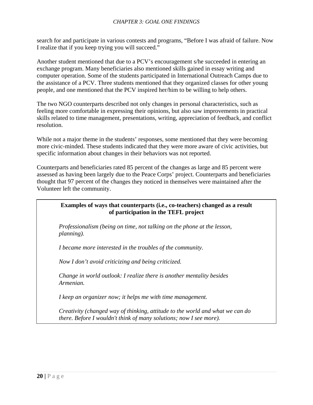search for and participate in various contests and programs, "Before I was afraid of failure. Now I realize that if you keep trying you will succeed."

Another student mentioned that due to a PCV's encouragement s/he succeeded in entering an the assistance of a PCV. Three students mentioned that they organized classes for other young people, and one mentioned that the PCV inspired her/him to be willing to help others. exchange program. Many beneficiaries also mentioned skills gained in essay writing and computer operation. Some of the students participated in International Outreach Camps due to

skills related to time management, presentations, writing, appreciation of feedback, and conflict resolution. The two NGO counterparts described not only changes in personal characteristics, such as feeling more comfortable in expressing their opinions, but also saw improvements in practical

more civic-minded. These students indicated that they were more aware of civic activities, but specific information about changes in their behaviors was not reported. While not a major theme in the students' responses, some mentioned that they were becoming

assessed as having been largely due to the Peace Corps' project. Counterparts and beneficiaries thought that 97 percent of the changes they noticed in themselves were maintained after the Volunteer left the community. Counterparts and beneficiaries rated 85 percent of the changes as large and 85 percent were

### **Examples of ways that counterparts (i.e., co-teachers) changed as a result of participation in the TEFL project**

Professionalism (being on time, not talking on the phone at the lesson, *lanning). p*

*<i>became more interested in the troubles of the community.* 

Now I don't avoid criticizing and being criticized.

*Change in world outlook: I realize there is another mentality besides* Armenian.

*I* keep an organizer now; it helps me with time management.

Creativity (changed way of thinking, attitude to the world and what we can do *there. Before I wouldn't think of many solutions; now I see more).*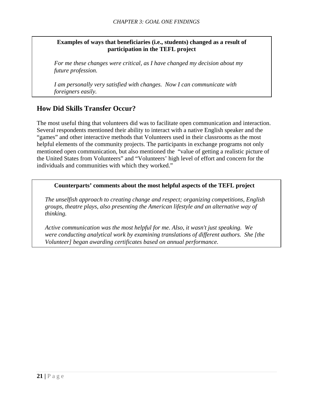### <span id="page-20-0"></span>**Examples of ways that beneficiaries (i.e., students) changed as a result of participation in the TEFL project**

*For me these changes were critical, as I have changed my decision about my future profession.* 

*I am personally very satisfied with changes. Now I can communicate with foreigners easily.* 

### **How Did Skills Transfer Occur?**

The most useful thing that volunteers did was to facilitate open communication and interaction. Several respondents mentioned their ability to interact with a native English speaker and the "games" and other interactive methods that Volunteers used in their classrooms as the most helpful elements of the community projects. The participants in exchange programs not only mentioned open communication, but also mentioned the "value of getting a realistic picture of the United States from Volunteers" and "Volunteers' high level of effort and concern for the individuals and communities with which they worked."

### **Counterparts' comments about the most helpful aspects of the TEFL project**

*The unselfish approach to creating change and respect; organizing competitions, English groups, theatre plays, also presenting the American lifestyle and an alternative way of thinking.* 

*Active communication was the most helpful for me. Also, it wasn't just speaking. We were conducting analytical work by examining translations of different authors. She [the Volunteer] began awarding certificates based on annual performance.*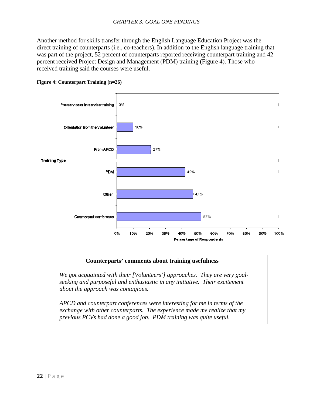<span id="page-21-0"></span>Another method for skills transfer through the English Language Education Project was the direct training of counterparts (i.e., co-teachers). In addition to the English language training that was part of the project, 52 percent of counterparts reported receiving counterpart training and 42 percent received Project Design and Management (PDM) training (Figure 4). Those who received training said the courses were useful.





#### **Counterparts' comments about training usefulness**

*We got acquainted with their [Volunteers'] approaches. They are very goalseeking and purposeful and enthusiastic in any initiative. Their excitement about the approach was contagious.*

*APCD and counterpart conferences were interesting for me in terms of the exchange with other counterparts. The experience made me realize that my previous PCVs had done a good job. PDM training was quite useful.*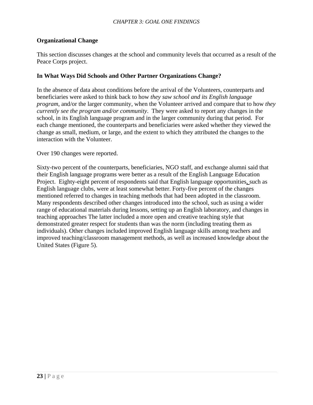### **Organizational Change**

This section discusses changes at the school and community levels that occurred as a result of the Peace Corps project.

### **In What Ways Did Schools and Other Partner Organizations Change?**

In the absence of data about conditions before the arrival of the Volunteers, counterparts and beneficiaries were asked to think back to how *they saw school and its English language program*, and/or the larger community, when the Volunteer arrived and compare that to how *they currently see the program and/or community*. They were asked to report any changes in the school, in its English language program and in the larger community during that period. For each change mentioned, the counterparts and beneficiaries were asked whether they viewed the change as small, medium, or large, and the extent to which they attributed the changes to the interaction with the Volunteer.

Over 190 changes were reported.

Sixty-two percent of the counterparts, beneficiaries, NGO staff, and exchange alumni said that their English language programs were better as a result of the English Language Education Project. Eighty-eight percent of respondents said that English language opportunities, such as English language clubs, were at least somewhat better. Forty-five percent of the changes mentioned referred to changes in teaching methods that had been adopted in the classroom. Many respondents described other changes introduced into the school, such as using a wider range of educational materials during lessons, setting up an English laboratory, and changes in teaching approaches The latter included a more open and creative teaching style that demonstrated greater respect for students than was the norm (including treating them as individuals). Other changes included improved English language skills among teachers and improved teaching/classroom management methods, as well as increased knowledge about the United States (Figure 5).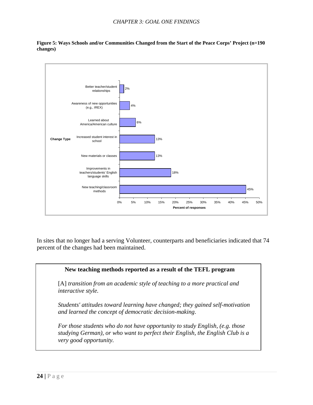

<span id="page-23-0"></span>**Figure 5: Ways Schools and/or Communities Changed from the Start of the Peace Corps' Project (n=190 changes)** 

In sites that no longer had a serving Volunteer, counterparts and beneficiaries indicated that 74 percent of the changes had been maintained.

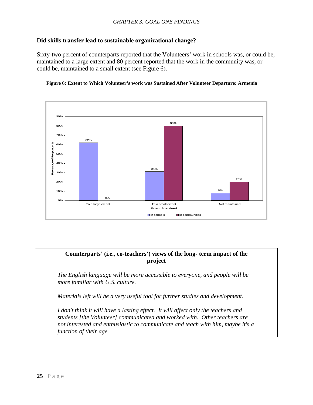### **Did skills transfer lead to sustainable organizational change?**

Sixty-two percent of counterparts reported that the Volunteers' work in schools was, or could be, maintained to a large extent and 80 percent reported that the work in the community was, or could be, maintained to a small extent (see Figure 6).





### **Counterparts' (i.e., co-teachers') views of the long- term impact of the project**

*The English language will be more accessible to everyone, and people will be more familiar with U.S. culture.* 

*Materials left will be a very useful tool for further studies and development.* 

*I don't think it will have a lasting effect. It will affect only the teachers and students [the Volunteer] communicated and worked with. Other teachers are not interested and enthusiastic to communicate and teach with him, maybe it's a function of their age.*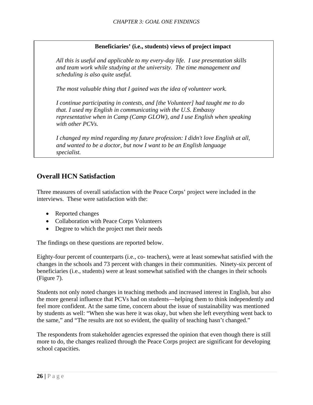### **Beneficiaries' (i.e., students) views of project impact**

<span id="page-25-0"></span>*All this is useful and applicable to my every-day life. I use presentation skills and team work while studying at the university. The time management and scheduling is also quite useful.* 

*The most valuable thing that I gained was the idea of volunteer work.* 

*I continue participating in contests, and [the Volunteer] had taught me to do that. I used my English in communicating with the U.S. Embassy representative when in Camp (Camp GLOW), and I use English when speaking with other PCVs.* 

*I changed my mind regarding my future profession: I didn't love English at all, and wanted to be a doctor, but now I want to be an English language specialist.* 

### **Overall HCN Satisfaction**

Three measures of overall satisfaction with the Peace Corps' project were included in the interviews. These were satisfaction with the:

- Reported changes
- Collaboration with Peace Corps Volunteers
- Degree to which the project met their needs

The findings on these questions are reported below.

Eighty-four percent of counterparts (i.e., co- teachers), were at least somewhat satisfied with the changes in the schools and 73 percent with changes in their communities. Ninety-six percent of beneficiaries (i.e., students) were at least somewhat satisfied with the changes in their schools (Figure 7).

Students not only noted changes in teaching methods and increased interest in English, but also the more general influence that PCVs had on students—helping them to think independently and feel more confident. At the same time, concern about the issue of sustainability was mentioned by students as well: "When she was here it was okay, but when she left everything went back to the same," and "The results are not so evident, the quality of teaching hasn't changed."

The respondents from stakeholder agencies expressed the opinion that even though there is still more to do, the changes realized through the Peace Corps project are significant for developing school capacities.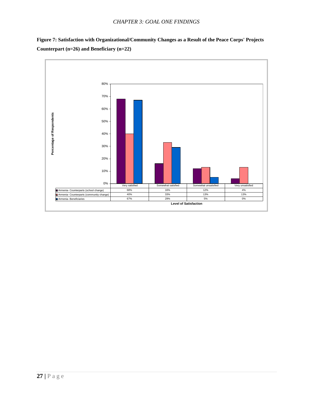

<span id="page-26-0"></span>**Figure 7: Satisfaction with Organizational/Community Changes as a Result of the Peace Corps' Projects Counterpart (n=26) and Beneficiary (n=22)**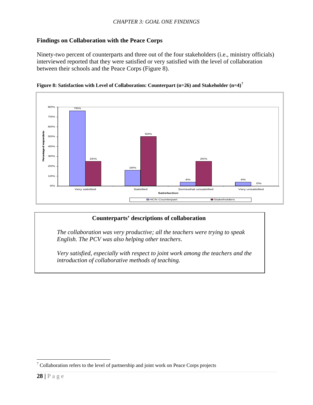### <span id="page-27-0"></span>**Findings on Collaboration with the Peace Corps**

Ninety-two percent of counterparts and three out of the four stakeholders (i.e., ministry officials) interviewed reported that they were satisfied or very satisfied with the level of collaboration between their schools and the Peace Corps (Figure 8).





### **Counterparts' descriptions of collaboration**

*The collaboration was very productive; all the teachers were trying to speak English. The PCV was also helping other teachers*.

*Very satisfied, especially with respect to joint work among the teachers and the introduction of collaborative methods of teaching.* 

 $\overline{a}$ 

<span id="page-27-1"></span> $7$  Collaboration refers to the level of partnership and joint work on Peace Corps projects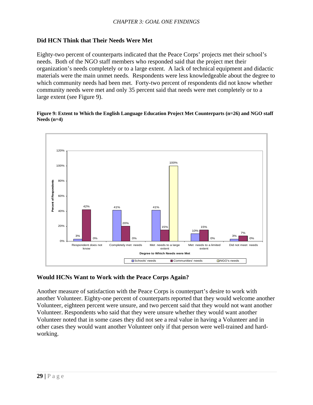### <span id="page-28-0"></span>**Did HCN Think that Their Needs Were Met**

Eighty-two percent of counterparts indicated that the Peace Corps' projects met their school's needs. Both of the NGO staff members who responded said that the project met their organization's needs completely or to a large extent. A lack of technical equipment and didactic materials were the main unmet needs. Respondents were less knowledgeable about the degree to which community needs had been met. Forty-two percent of respondents did not know whether community needs were met and only 35 percent said that needs were met completely or to a large extent (see Figure 9).

#### **Figure 9: Extent to Which the English Language Education Project Met Counterparts (n=26) and NGO staff Needs (n=4)**



### **Would HCNs Want to Work with the Peace Corps Again?**

Another measure of satisfaction with the Peace Corps is counterpart's desire to work with another Volunteer. Eighty-one percent of counterparts reported that they would welcome another Volunteer, eighteen percent were unsure, and two percent said that they would not want another Volunteer. Respondents who said that they were unsure whether they would want another Volunteer noted that in some cases they did not see a real value in having a Volunteer and in other cases they would want another Volunteer only if that person were well-trained and hardworking.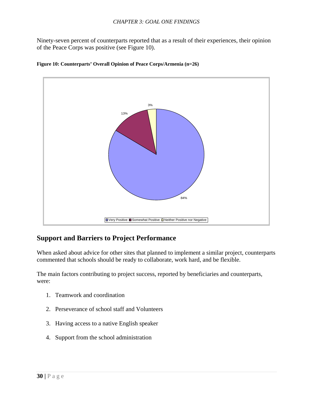<span id="page-29-0"></span>Ninety-seven percent of counterparts reported that as a result of their experiences, their opinion of the Peace Corps was positive (see Figure 10).



#### **Figure 10: Counterparts' Overall Opinion of Peace Corps/Armenia (n=26)**

### **Support and Barriers to Project Performance**

When asked about advice for other sites that planned to implement a similar project, counterparts commented that schools should be ready to collaborate, work hard, and be flexible.

The main factors contributing to project success, reported by beneficiaries and counterparts, were:

- 1. Teamwork and coordination
- 2. Perseverance of school staff and Volunteers
- 3. Having access to a native English speaker
- 4. Support from the school administration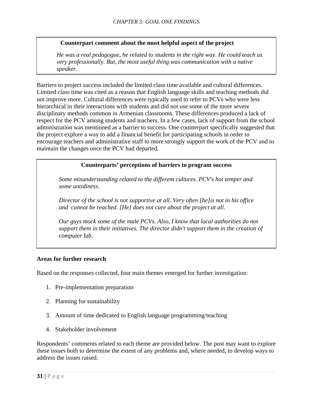#### **Counterpart comment about the most helpful aspect of the project**

*He was a real pedagogue, he related to students in the right way. He could teach us very professionally. But, the most useful thing was communication with a native speaker.* 

Barriers to project success included the limited class time available and cultural differences. Limited class time was cited as a reason that English language skills and teaching methods did not improve more. Cultural differences were typically used to refer to PCVs who were less hierarchical in their interactions with students and did not use some of the more severe disciplinary methods common in Armenian classrooms. These differences produced a lack of respect for the PCV among students and teachers. In a few cases, lack of support from the school administration was mentioned as a barrier to success. One counterpart specifically suggested that the project explore a way to add a financial benefit for participating schools in order to encourage teachers and administrative staff to more strongly support the work of the PCV and to maintain the changes once the PCV had departed.

### **Counterparts' perceptions of barriers to program success**

*Some misunderstanding related to the different cultures. PCV's hot temper and some untidiness*.

*Director of the school is not supportive at all. Very often [he]is not in his office and cannot be reached. [He] does not care about the project at all.* 

*Our guys mock some of the male PCVs. Also, I know that local authorities do not support them in their initiatives. The director didn't support them in the creation of computer lab.* 

#### **Areas for further research**

Based on the responses collected, four main themes emerged for further investigation:

- 1. Pre-implementation preparation
- 2. Planning for sustainability
- 3. Amount of time dedicated to English language programming/teaching
- 4. Stakeholder involvement

Respondents' comments related to each theme are provided below. The post may want to explore these issues both to determine the extent of any problems and, where needed, to develop ways to address the issues raised.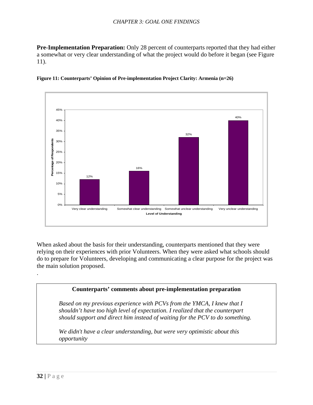<span id="page-31-0"></span>**Pre-Implementation Preparation:** Only 28 percent of counterparts reported that they had either a somewhat or very clear understanding of what the project would do before it began (see Figure 11).





When asked about the basis for their understanding, counterparts mentioned that they were relying on their experiences with prior Volunteers. When they were asked what schools should do to prepare for Volunteers, developing and communicating a clear purpose for the project was the main solution proposed.

### **Counterparts' comments about pre-implementation preparation**

*Based on my previous experience with PCVs from the YMCA, I knew that I shouldn't have too high level of expectation. I realized that the counterpart should support and direct him instead of waiting for the PCV to do something.*

*We didn't have a clear understanding, but were very optimistic about this opportunity* 

.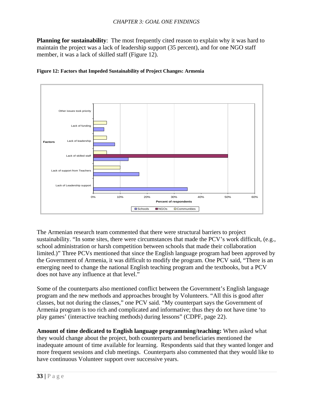<span id="page-32-0"></span>**Planning for sustainability**: The most frequently cited reason to explain why it was hard to maintain the project was a lack of leadership support (35 percent), and for one NGO staff member, it was a lack of skilled staff (Figure 12).





the Government of Armenia, it was difficult to modify the program. One PCV said, "There is an emerging need to change the national English teaching program and the textbooks, but a PCV does not have any influence at that level." The Armenian research team commented that there were structural barriers to project sustainability. "In some sites, there were circumstances that made the PCV's work difficult, (e.g., school administration or harsh competition between schools that made their collaboration limited.)" Three PCVs mentioned that since the English language program had been approved by

Some of the counterparts also mentioned conflict between the Government's English language Armenia program is too rich and complicated and informative; thus they do not have time 'to play games' (interactive teaching methods) during lessons" (CDPF, page 22). program and the new methods and approaches brought by Volunteers. "All this is good after classes, but not during the classes," one PCV said. "My counterpart says the Government of

Amount of time dedicated to English language programming/teaching: When asked what more frequent sessions and club meetings. Counterparts also commented that they would like to have continuous Volunteer support over successive years. they would change about the project, both counterparts and beneficiaries mentioned the inadequate amount of time available for learning. Respondents said that they wanted longer and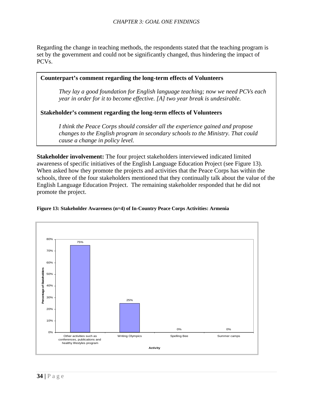<span id="page-33-0"></span>Regarding the change in teaching methods, the respondents stated that the teaching program is set by th e government and could not be significantly changed, thus hindering the impact of PCVs.



schools, three of the four stakeholders mentioned that they continually talk about the value of the English Language Education Project. The remaining stakeholder responded that he did not promote the project. **Stakeholder involvement:** The four project stakeholders interviewed indicated limited awareness of specific initiatives of the English Language Education Project (see Figure 13). When asked how they promote the projects and activities that the Peace Corps has within the



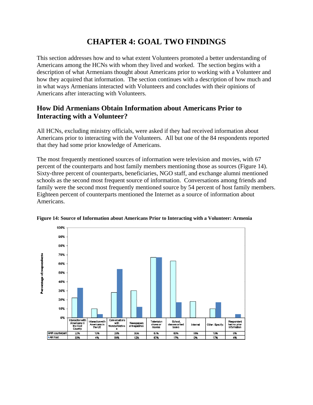# **CHAPTER 4: GOAL TWO FINDINGS**

<span id="page-34-0"></span>This section addresses how and to what extent Volunteers promoted a better understanding of Americans among the HCNs with whom they lived and worked. The section begins with a description of what Armenians thought about Americans prior to working with a Volunteer and how they acquired that information. The section continues with a description of how much and in what ways Armenians interacted with Volunteers and concludes with their opinions of Americans after interacting with Volunteers.

### **How Did Armenians Obtain Information about Americans Prior to Interacting with a Volunteer?**

All HCNs, excluding ministry officials, were asked if they had received information about Americans prior to interacting with the Volunteers.All but one of the 84 respondents reported that they had some prior knowledge of Americans.

The most frequently mentioned sources of information were television and movies, with 67 percent of the counterparts and host family members mentioning those as sources (Figure 14). Sixty-three percent of counterparts, beneficiaries, NGO staff, and exchange alumni mentioned schools as the second most frequent source of information. Conversations among friends and family were the second most frequently mentioned source by 54 percent of host family members. Eighteen percent of counterparts mentioned the Internet as a source of information about Americans.



**Figure 14: Source of Information about Americans Prior to Interacting with a Volunteer: Armenia**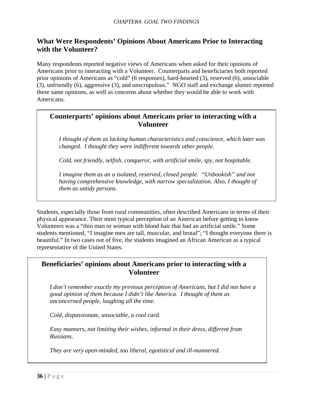### <span id="page-35-0"></span>**What Were Respondents' Opinions About Americans Prior to Interacting with the Volunteer?**

Many respondents reported negative views of Americans when asked for their opinions of Americans prior to interacting with a Volunteer. Counterparts and beneficiaries both reported prior opinions of Americans as "cold" (6 responses), hard-hearted (3), reserved (6), unsociable (3), unfriendly (6), aggressive (3), and unscrupulous." NGO staff and exchange alumni reported these same opinions, as well as concerns about whether they would be able to work with Americans.

### **Counterparts' opinions about Americans prior to interacting with a Volunteer**

*I thought of them as lacking human characteristics and conscience, which later was changed. I thought they were indifferent towards other people.* 

*Cold, not friendly, selfish, conqueror, with artificial smile, spy, not hospitable.* 

*I imagine them as an a isolated, reserved, closed people. "Unbookish" and not having comprehensive knowledge, with narrow specialization. Also, I thought of them as untidy persons.* 

Students, especially those from rural communities, often described Americans in terms of their physical appearance. Their most typical perception of an American before getting to know Volunteers was a "thin man or woman with blond hair that had an artificial smile." Some students mentioned, "I imagine men are tall, muscular, and brutal"; "I thought everyone there is beautiful." In two cases out of five, the students imagined an African American as a typical representative of the United States.

### **Beneficiaries' opinions about Americans prior to interacting with a Volunteer**

*I don't remember exactly my previous perception of Americans, but I did not have a good opinion of them because I didn't like America. I thought of them as unconcerned people, laughing all the time.* 

*Cold, dispassionate, unsociable, a cool card.* 

*Easy manners, not limiting their wishes, informal in their dress, different from Russians.* 

*They are very open-minded, too liberal, egotistical and ill-mannered.*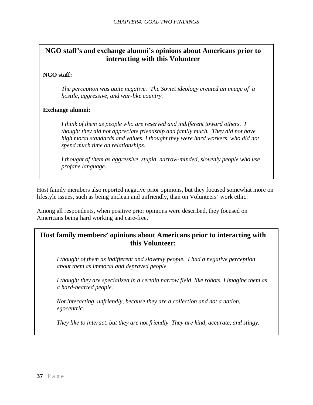### **NGO staff's and exchange alumni's opinions about Americans prior to interacting with this Volunteer**

### **NGO staff:**

*The perception was quite negative. The Soviet ideology created an image of a hostile, aggressive, and war-like country.* 

### **Exchange alumni:**

*I think of them as people who are reserved and indifferent toward others. I thought they did not appreciate friendship and family much. They did not have high moral standards and values. I thought they were hard workers, who did not spend much time on relationships.* 

*I thought of them as aggressive, stupid, narrow-minded, slovenly people who use profane language.* 

Host family members also reported negative prior opinions, but they focused somewhat more on lifestyle issues, such as being unclean and unfriendly, than on Volunteers' work ethic.

Among all respondents, when positive prior opinions were described, they focused on Americans being hard working and care-free.

### **Host family members' opinions about Americans prior to interacting with this Volunteer:**

*I thought of them as indifferent and slovenly people. I had a negative perception about them as immoral and depraved people.* 

*I thought they are specialized in a certain narrow field, like robots. I imagine them as a hard-hearted people.* 

*Not interacting, unfriendly, because they are a collection and not a nation, egocentric.* 

*They like to interact, but they are not friendly. They are kind, accurate, and stingy.*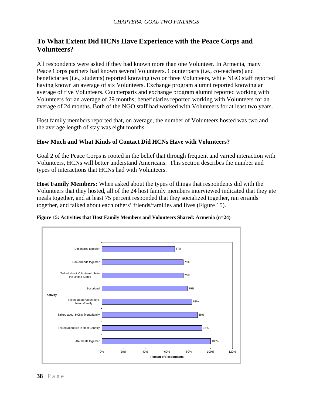### <span id="page-37-0"></span>**To What Extent Did HCNs Have Experience with the Peace Corps and Volunteers?**

All respondents were asked if they had known more than one Volunteer. In Armenia, many Peace Corps partners had known several Volunteers. Counterparts (i.e., co-teachers) and beneficiaries (i.e., students) reported knowing two or three Volunteers, while NGO staff reported having known an average of six Volunteers. Exchange program alumni reported knowing an average of five Volunteers. Counterparts and exchange program alumni reported working with Volunteers for an average of 29 months; beneficiaries reported working with Volunteers for an average of 24 months. Both of the NGO staff had worked with Volunteers for at least two years.

Host family members reported that, on average, the number of Volunteers hosted was two and the average length of stay was eight months.

### **How Much and What Kinds of Contact Did HCNs Have with Volunteers?**

Goal 2 of the Peace Corps is rooted in the belief that through frequent and varied interaction with Volunteers, HCNs will better understand Americans. This section describes the number and types of interactions that HCNs had with Volunteers.

**Host Family Members:** When asked about the types of things that respondents did with the Volunteers that they hosted, all of the 24 host family members interviewed indicated that they ate meals together, and at least 75 percent responded that they socialized together, ran errands together, and talked about each others' friends/families and lives (Figure 15).



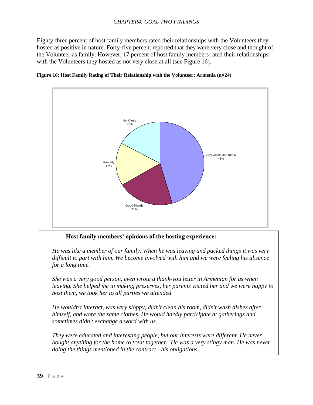<span id="page-38-0"></span>Eighty-three percent of host family members rated their relationships with the Volunteers they hosted as positive in nature. Forty-five percent reported that they were very close and thought of the Volunteer as family. However, 17 percent of host family members rated their relationships with the Volunteers they hosted as not very close at all (see Figure 16).



#### **Figure 16: Host Family Rating of Their Relationship with the Volunteer: Armenia (n=24)**

**Host family members' opinions of the hosting experience:** 

*He was like a member of our family. When he was leaving and packed things it was very difficult to part with him. We become involved with him and we were feeling his absence for a long time.*

*She was a very good person, even wrote a thank-you letter in Armenian for us when leaving. She helped me in making preserves, her parents visited her and we were happy to host them, we took her to all parties we attended.* 

*He wouldn't interact, was very sloppy, didn't clean his room, didn't wash dishes after himself, and wore the same clothes. He would hardly participate at gatherings and sometimes didn't exchange a word with us.*

*They were educated and interesting people, but our interests were different. He never bought anything for the home to treat together. He was a very stingy man. He was never doing the things mentioned in the contract - his obligations.*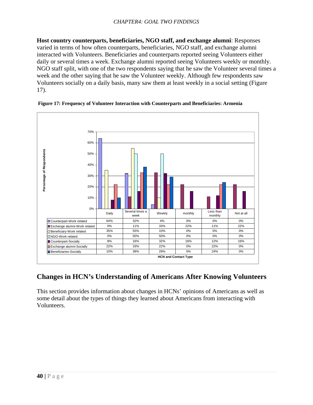<span id="page-39-0"></span>**Host country counterparts, beneficiaries, NGO staff, and exchange alumni**: Responses varied in terms of how often counterparts, beneficiaries, NGO staff, and exchange alumni interacted with Volunteers. Beneficiaries and counterparts reported seeing Volunteers either daily or several times a week. Exchange alumni reported seeing Volunteers weekly or monthly. NGO staff split, with one of the two respondents saying that he saw the Volunteer several times a week and the other saying that he saw the Volunteer weekly. Although few respondents saw Volunteers socially on a daily basis, many saw them at least weekly in a social setting (Figure 17).



 **Figure 17: Frequency of Volunteer Interaction with Counterparts and Beneficiaries: Armenia** 

## **Changes in HCN's Understanding of Americans After Knowing Volunteers**

This section provides information about changes in HCNs' opinions of Americans as well as some detail about the types of things they learned about Americans from interacting with Volunteers.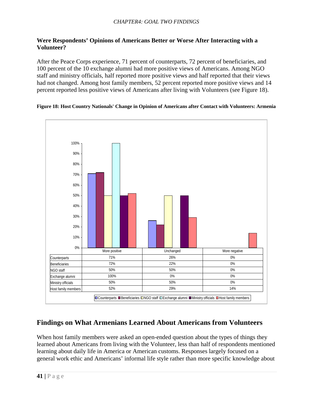### <span id="page-40-0"></span>**Were Respondents' Opinions of Americans Better or Worse After Interacting with a Volunteer?**

After the Peace Corps experience, 71 percent of counterparts, 72 percent of beneficiaries, and 100 percent of the 10 exchange alumni had more positive views of Americans. Among NGO staff and ministry officials, half reported more positive views and half reported that their views had not changed. Among host family members, 52 percent reported more positive views and 14 percent reported less positive views of Americans after living with Volunteers (see Figure 18).



#### **Figure 18: Host Country Nationals' Change in Opinion of Americans after Contact with Volunteers: Armenia**

### **Findings on What Armenians Learned About Americans from Volunteers**

When host family members were asked an open-ended question about the types of things they learned about Americans from living with the Volunteer, less than half of respondents mentioned learning about daily life in America or American customs. Responses largely focused on a general work ethic and Americans' informal life style rather than more specific knowledge about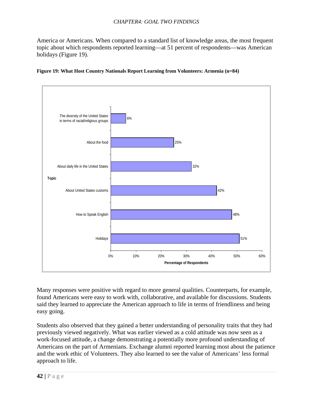<span id="page-41-0"></span>America or Americans. When compared to a standard list of knowledge areas, the most frequent topic about which respondents reported learning—at 51 percent of respondents—was American holidays (Figure 19).





Many responses were positive with regard to more general qualities. Counterparts, for example, found Americans were easy to work with, collaborative, and available for discussions. Students said they learned to appreciate the American approach to life in terms of friendliness and being easy going.

Students also observed that they gained a better understanding of personality traits that they had previously viewed negatively. What was earlier viewed as a cold attitude was now seen as a work-focused attitude, a change demonstrating a potentially more profound understanding of Americans on the part of Armenians. Exchange alumni reported learning most about the patience and the work ethic of Volunteers. They also learned to see the value of Americans' less formal approach to life.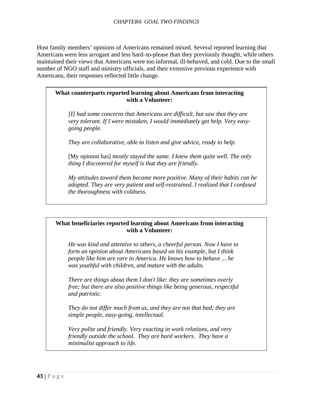Host family members' opinions of Americans remained mixed. Several reported learning that Americans were less arrogant and less hard–to-please than they previously thought, while others maintained their views that Americans were too informal, ill-behaved, and cold. Due to the small number of NGO staff and ministry officials, and their extensive previous experience with Americans, their responses reflected little change.

### **What counterparts reported learning about Americans from interacting with a Volunteer:**

*[I] had some concerns that Americans are difficult, but saw that they are very tolerant. If I were mistaken, I would immediately get help. Very easygoing people.* 

*They are collaborative, able to listen and give advice, ready to help.* 

[My opinion has] *mostly stayed the same. I knew them quite well. The only thing I discovered for myself is that they are friendly.* 

*My attitudes toward them became more positive. Many of their habits can be adopted. They are very patient and self-restrained. I realized that I confused the thoroughness with coldness.* 

### **What beneficiaries reported learning about Americans from interacting with a Volunteer:**

*He was kind and attentive to others, a cheerful person. Now I have to form an opinion about Americans based on his example, but I think people like him are rare in America. He knows how to behave ... he was youthful with children, and mature with the adults.* 

*There are things about them I don't like: they are sometimes overly free; but there are also positive things like being generous, respectful and patriotic.* 

*They do not differ much from us, and they are not that bad; they are simple people, easy-going, intellectual.* 

*Very polite and friendly. Very exacting in work relations, and very friendly outside the school. They are hard workers. They have a minimalist approach to life.*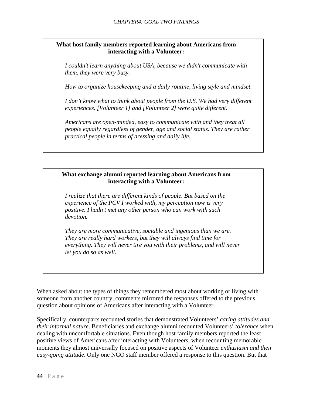### **What host family members reported learning about Americans from interacting with a Volunteer:**

*I couldn't learn anything about USA, because we didn't communicate with them, they were very busy.*

*How to organize housekeeping and a daily routine, living style and mindset.*

*I don't know what to think about people from the U.S. We had very different experiences. [Volunteer 1] and [Volunteer 2] were quite different*.

*Americans are open-minded, easy to communicate with and they treat all people equally regardless of gender, age and social status. They are rather practical people in terms of dressing and daily life.* 

### **What exchange alumni reported learning about Americans from interacting with a Volunteer:**

*I realize that there are different kinds of people. But based on the experience of the PCV I worked with, my perception now is very positive. I hadn't met any other person who can work with such devotion.* 

*They are more communicative, sociable and ingenious than we are. They are really hard workers, but they will always find time for everything. They will never tire you with their problems, and will never let you do so as well.* 

When asked about the types of things they remembered most about working or living with someone from another country, comments mirrored the responses offered to the previous question about opinions of Americans after interacting with a Volunteer.

Specifically, counterparts recounted stories that demonstrated Volunteers' *caring attitudes and their informal nature*. Beneficiaries and exchange alumni recounted Volunteers' *tolerance* when dealing with uncomfortable situations. Even though host family members reported the least positive views of Americans after interacting with Volunteers, when recounting memorable moments they almost universally focused on positive aspects of Volunteer *enthusiasm and their easy-going attitude*. Only one NGO staff member offered a response to this question. But that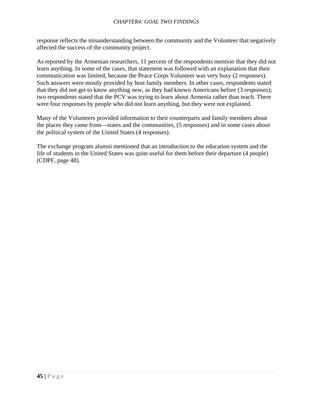response reflects the misunderstanding between the community and the Volunteer that negatively affected the success of the community project.

As reported by the Armenian researchers, 11 percent of the respondents mention that they did not learn anything. In some of the cases, that statement was followed with an explanation that their communication was limited, because the Peace Corps Volunteer was very busy (2 responses). Such answers were mostly provided by host family members. In other cases, respondents stated that they did not get to know anything new, as they had known Americans before (3 responses); two respondents stated that the PCV was trying to learn about Armenia rather than teach. There were four responses by people who did not learn anything, but they were not explained.

Many of the Volunteers provided information to their counterparts and family members about the places they came from—states and the communities, (5 responses) and in some cases about the political system of the United States (4 responses).

The exchange program alumni mentioned that an introduction to the education system and the life of students in the United States was quite useful for them before their departure (4 people) (CDPF, page 48).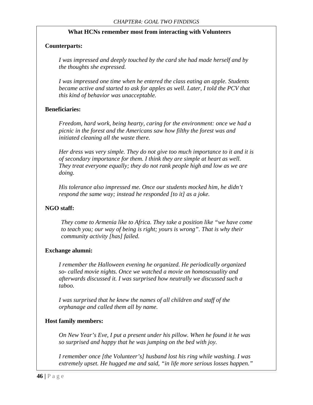#### **What HCNs remember most from interacting with Volunteers**

#### **Counterparts:**

*I was impressed and deeply touched by the card she had made herself and by the thoughts she expressed.* 

*I was impressed one time when he entered the class eating an apple. Students became active and started to ask for apples as well. Later, I told the PCV that this kind of behavior was unacceptable.* 

#### **Beneficiaries:**

*Freedom, hard work, being hearty, caring for the environment: once we had a picnic in the forest and the Americans saw how filthy the forest was and initiated cleaning all the waste there.*

*Her dress was very simple. They do not give too much importance to it and it is of secondary importance for them. I think they are simple at heart as well. They treat everyone equally; they do not rank people high and low as we are doing.*

*His tolerance also impressed me. Once our students mocked him, he didn't respond the same way; instead he responded [to it] as a joke.* 

#### **NGO staff:**

*They come to Armenia like to Africa. They take a position like "we have come to teach you; our way of being is right; yours is wrong". That is why their community activity [has] failed.* 

#### **Exchange alumni:**

*I remember the Halloween evening he organized. He periodically organized so- called movie nights. Once we watched a movie on homosexuality and afterwards discussed it. I was surprised how neutrally we discussed such a taboo.* 

*I was surprised that he knew the names of all children and staff of the orphanage and called them all by name.* 

#### **Host family members:**

*On New Year's Eve, I put a present under his pillow. When he found it he was so surprised and happy that he was jumping on the bed with joy.*

*I remember once [the Volunteer's] husband lost his ring while washing. I was extremely upset. He hugged me and said, "in life more serious losses happen."*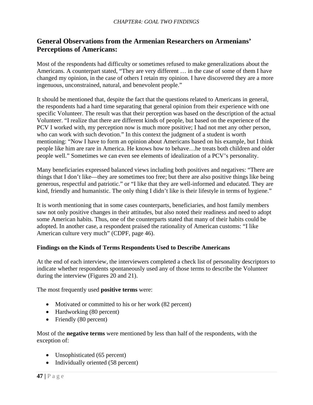### <span id="page-46-0"></span>**General Observations from the Armenian Researchers on Armenians' Perceptions of Americans:**

Most of the respondents had difficulty or sometimes refused to make generalizations about the Americans. A counterpart stated, "They are very different … in the case of some of them I have changed my opinion, in the case of others I retain my opinion. I have discovered they are a more ingenuous, unconstrained, natural, and benevolent people."

It should be mentioned that, despite the fact that the questions related to Americans in general, the respondents had a hard time separating that general opinion from their experience with one specific Volunteer. The result was that their perception was based on the description of the actual Volunteer. "I realize that there are different kinds of people, but based on the experience of the PCV I worked with, my perception now is much more positive; I had not met any other person, who can work with such devotion." In this context the judgment of a student is worth mentioning: "Now I have to form an opinion about Americans based on his example, but I think people like him are rare in America. He knows how to behave…he treats both children and older people well." Sometimes we can even see elements of idealization of a PCV's personality.

Many beneficiaries expressed balanced views including both positives and negatives: "There are things that I don't like—they are sometimes too free; but there are also positive things like being generous, respectful and patriotic." or "I like that they are well-informed and educated. They are kind, friendly and humanistic. The only thing I didn't like is their lifestyle in terms of hygiene."

It is worth mentioning that in some cases counterparts, beneficiaries, and host family members saw not only positive changes in their attitudes, but also noted their readiness and need to adopt some American habits. Thus, one of the counterparts stated that many of their habits could be adopted. In another case, a respondent praised the rationality of American customs: "I like American culture very much" (CDPF, page 46).

### **Findings on the Kinds of Terms Respondents Used to Describe Americans**

At the end of each interview, the interviewers completed a check list of personality descriptors to indicate whether respondents spontaneously used any of those terms to describe the Volunteer during the interview (Figures 20 and 21).

The most frequently used **positive terms** were:

- Motivated or committed to his or her work (82 percent)
- Hardworking (80 percent)
- Friendly (80 percent)

Most of the **negative terms** were mentioned by less than half of the respondents, with the exception of:

- Unsophisticated (65 percent)
- Individually oriented (58 percent)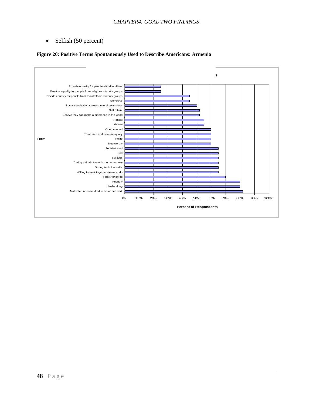<span id="page-47-0"></span>• Selfish (50 percent)

#### **Figure 20: Positive Terms Spontaneously Used to Describe Americans: Armenia**

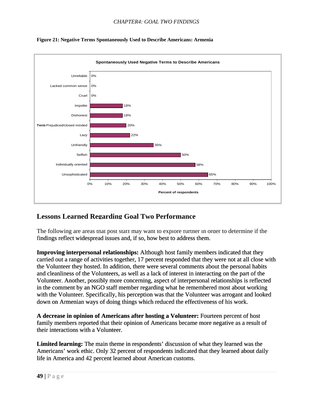

<span id="page-48-0"></span>

### **Lessons Learned Regarding Goal Two Performance**

The following are areas that post staff may want to explore further in order to determine if the findings reflect widespread issues and, if so, how best to address them.

**Improving interpersonal relationships:** Although host family members indicated that they carried out a range of activities together, 17 percent responded that they were not at all close with the Volunteer they hosted. In addition, there were several comments about the personal habits and cleanliness of the Volunteers, as well as a lack of interest in interacting on the part of the Volunteer. Another, possibly more concerning, aspect of interpersonal relationships is reflected in the comment by an NGO staff member regarding what he remembered most about working with the Volunteer. Specifically, his perception was that the Volunteer was arrogant and looked down on Armenian ways of doing things which reduced the effectiveness of his work.

**A decrease in opinion of Americans after hosting a Volunteer:** Fourteen percent of host family members reported that their opinion of Americans became more negative as a result of their interactions with a Volunteer.

**Limited learning:** The main theme in respondents' discussion of what they learned was the Americans' work ethic. Only 32 percent of respondents indicated that they learned about daily ife in America and 42 percent learned about American customs.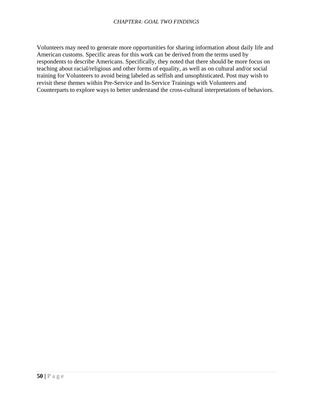Volunteers may need to generate more opportunities for sharing information about daily life and training for Volunteers to avoid being labeled as selfish and unsophisticated. Post may wish to Counterparts to explore ways to better understand the cross-cultural interpretations of behaviors. American customs. Specific areas for this work can be derived from the terms used by respondents to describe Americans. Specifically, they noted that there should be more focus on teaching about racial/religious and other forms of equality, as well as on cultural and/or social revisit these themes within Pre-Service and In-Service Trainings with Volunteers and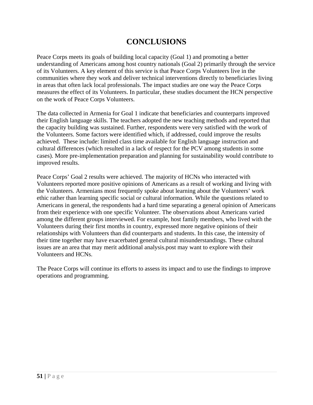# **CONCLUSIONS**

<span id="page-50-0"></span>Peace Corps meets its goals of building local capacity (Goal 1) and promoting a better understanding of Americans among host country nationals (Goal 2) primarily through the service of its Volunteers. A key element of this service is that Peace Corps Volunteers live in the communities where they work and deliver technical interventions directly to beneficiaries living in areas that often lack local professionals. The impact studies are one way the Peace Corps measures the effect of its Volunteers. In particular, these studies document the HCN perspective on the work of Peace Corps Volunteers.

The data collected in Armenia for Goal 1 indicate that beneficiaries and counterparts improved their English language skills. The teachers adopted the new teaching methods and reported that the capacity building was sustained. Further, respondents were very satisfied with the work of the Volunteers. Some factors were identified which, if addressed, could improve the results achieved. These include: limited class time available for English language instruction and cultural differences (which resulted in a lack of respect for the PCV among students in some cases). More pre-implementation preparation and planning for sustainability would contribute to improved results.

Peace Corps' Goal 2 results were achieved. The majority of HCNs who interacted with Volunteers reported more positive opinions of Americans as a result of working and living with the Volunteers. Armenians most frequently spoke about learning about the Volunteers' work ethic rather than learning specific social or cultural information. While the questions related to Americans in general, the respondents had a hard time separating a general opinion of Americans from their experience with one specific Volunteer. The observations about Americans varied among the different groups interviewed. For example, host family members, who lived with the Volunteers during their first months in country, expressed more negative opinions of their relationships with Volunteers than did counterparts and students. In this case, the intensity of their time together may have exacerbated general cultural misunderstandings. These cultural issues are an area that may merit additional analysis.post may want to explore with their Volunteers and HCNs.

The Peace Corps will continue its efforts to assess its impact and to use the findings to improve operations and programming.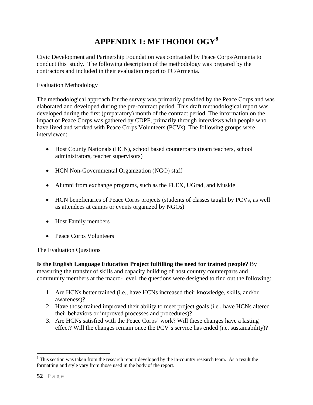# **APPENDIX 1: METHODOLOGY[8](#page-51-1)**

<span id="page-51-0"></span>Civic Development and Partnership Foundation was contracted by Peace Corps/Armenia to conduct this study. The following description of the methodology was prepared by the contractors and included in their evaluation report to PC/Armenia.

### Evaluation Methodology

The methodological approach for the survey was primarily provided by the Peace Corps and was elaborated and developed during the pre-contract period. This draft methodological report was developed during the first (preparatory) month of the contract period. The information on the impact of Peace Corps was gathered by CDPF, primarily through interviews with people who have lived and worked with Peace Corps Volunteers (PCVs). The following groups were interviewed:

- Host County Nationals (HCN), school based counterparts (team teachers, school administrators, teacher supervisors)
- HCN Non-Governmental Organization (NGO) staff
- Alumni from exchange programs, such as the FLEX, UGrad, and Muskie
- HCN beneficiaries of Peace Corps projects (students of classes taught by PCVs, as well as attendees at camps or events organized by NGOs)
- Host Family members
- Peace Corps Volunteers

### The Evaluation Questions

**Is the English Language Education Project fulfilling the need for trained people?** By measuring the transfer of skills and capacity building of host country counterparts and community members at the macro- level, the questions were designed to find out the following:

- 1. Are HCNs better trained (i.e., have HCNs increased their knowledge, skills, and/or awareness)?
- 2. Have those trained improved their ability to meet project goals (i.e., have HCNs altered their behaviors or improved processes and procedures)?
- 3. Are HCNs satisfied with the Peace Corps' work? Will these changes have a lasting effect? Will the changes remain once the PCV's service has ended (i.e. sustainability)?

 $\overline{a}$ 

<span id="page-51-1"></span> $8$  This section was taken from the research report developed by the in-country research team. As a result the formatting and style vary from those used in the body of the report.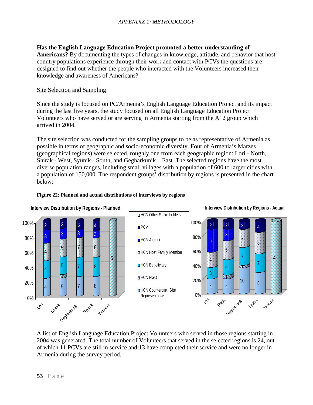<span id="page-52-0"></span>**Has the English Language Education Project promoted a better understanding of Americans?** By documenting the types of changes in knowledge, attitude, and behavior that host country populations experience through their work and contact with PCVs the questions are designed to find out whether the people who interacted with the Volunteers increased their knowledge and awareness of Americans?

### Site Selection and Sampling

Since the study is focused on PC/Armenia's English Language Education Project and its impact during the last five years, the study focused on all English Language Education Project Volunteers who have served or are serving in Armenia starting from the A12 group which arrived in 2004.

The site selection was conducted for the sampling groups to be as representative of Armenia as possible in terms of geographic and socio-economic diversity. Four of Armenia's Marzes (geographical regions) were selected, roughly one from each geographic region: Lori - North, Shirak - West, Syunik - South, and Gegharkunik – East. The selected regions have the most diverse population ranges, including small villages with a population of 600 to larger cities with a population of 150,000. The respondent groups' distribution by regions is presented in the chart below:



#### **Figure 22: Planned and actual distributions of interviews by regions**

A list of English Language Education Project Volunteers who served in those regions starting in 2004 was generated. The total number of Volunteers that served in the selected regions is 24, out of which 11 PCVs are still in service and 13 have completed their service and were no longer in Armenia during the survey period.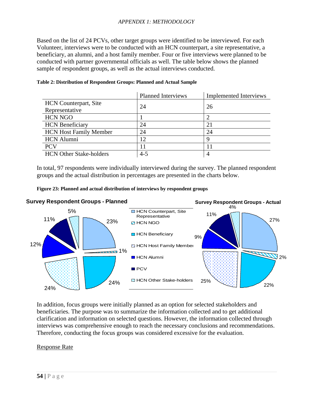#### *APPENDIX 1: METHODOLOGY*

<span id="page-53-0"></span>Based on the list of 24 PCVs, other target groups were identified to be interviewed. For each Volunteer, interviews were to be conducted with an HCN counterpart, a site representative, a beneficiary, an alumni, and a host family member. Four or five interviews were planned to be conducted with partner governmental officials as well. The table below shows the planned sample of respondent groups, as well as the actual interviews conducted.

|                                | <b>Planned Interviews</b> | <b>Implemented Interviews</b> |
|--------------------------------|---------------------------|-------------------------------|
| <b>HCN</b> Counterpart, Site   | 24                        | 26                            |
| Representative                 |                           |                               |
| <b>HCN NGO</b>                 |                           |                               |
| <b>HCN</b> Beneficiary         | 24                        | 2 <sub>1</sub>                |
| <b>HCN Host Family Member</b>  | 24                        | 24                            |
| <b>HCN</b> Alumni              | 12                        |                               |
| <b>PCV</b>                     |                           |                               |
| <b>HCN Other Stake-holders</b> | $4 - 5$                   |                               |

#### **Table 2: Distribution of Respondent Groups: Planned and Actual Sample**

In total, 97 respondents were individually interviewed during the survey. The planned respondent groups and the actual distribution in percentages are presented in the charts below.





In addition, focus groups were initially planned as an option for selected stakeholders and beneficiaries. The purpose was to summarize the information collected and to get additional clarification and information on selected questions. However, the information collected through interviews was comprehensive enough to reach the necessary conclusions and recommendations. Therefore, conducting the focus groups was considered excessive for the evaluation.

#### Response Rate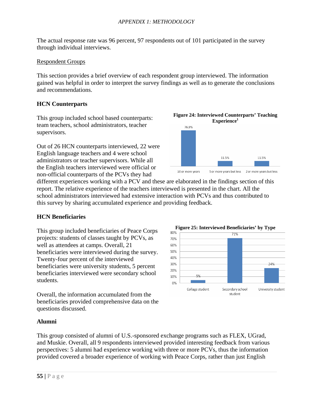The actual response rate was 96 percent, 97 respondents out of 101 participated in the survey through individual interviews.

### Respondent Groups

This section provides a brief overview of each respondent group interviewed. The information gained was helpful in order to interpret the survey findings as well as to generate the conclusions and recommendations.

### **HCN Counterparts**

This group included school based counterparts: team teachers, school administrators, teacher supervisors.

Out of 26 HCN counterparts interviewed, 22 were English language teachers and 4 were school administrators or teacher supervisors. While all the English teachers interviewed were official or non-official counterparts of the PCVs they had



different experiences working with a PCV and these are elaborated in the findings section of this report. The relative experience of the teachers interviewed is presented in the chart. All the school administrators interviewed had extensive interaction with PCVs and thus contributed to this survey by sharing accumulated experience and providing feedback.

### **HCN Beneficiaries**

projects: students of classes taught by PCVs, as well as attendees at camps. Overall, 21 beneficiaries were interviewed during the survey. Twenty-four percent of the interviewed beneficiaries were university students, 5 percent beneficiaries interviewed were secondary school students.

Overall, the information accumulated from the beneficiaries provided comprehensive data on the questions discussed.



#### **Alumni**

This group consisted of alumni of U.S.-sponsored exchange programs such as FLEX, UGrad, and Muskie. Overall, all 9 respondents interviewed provided interesting feedback from various perspectives: 5 alumni had experience working with three or more PCVs, thus the information provided covered a broader experience of working with Peace Corps, rather than just English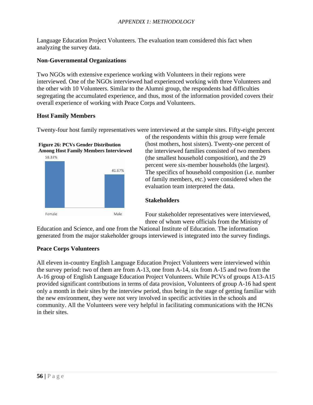Language Education Project Volunteers. The evaluation team considered this fact when analyzing the survey data.

### **Non-Governmental Organizations**

Two NGOs with extensive experience working with Volunteers in their regions were interviewed. One of the NGOs interviewed had experienced working with three Volunteers and the other with 10 Volunteers. Similar to the Alumni group, the respondents had difficulties segregating the accumulated experience, and thus, most of the information provided covers their overall experience of working with Peace Corps and Volunteers.

### **Host Family Members**

Twenty-four host family representatives were interviewed at the sample sites. Fifty-eight percent



of the respondents within this group were female (host mothers, host sisters). Twenty-one percent of the interviewed families consisted of two members (the smallest household composition), and the 29 percent were six-member households (the largest). The specifics of household composition (i.e. number of family members, etc.) were considered when the evaluation team interpreted the data.

### **Stakeholders**

Four stakeholder representatives were interviewed, three of whom were officials from the Ministry of

Education and Science, and one from the National Institute of Education. The information generated from the major stakeholder groups interviewed is integrated into the survey findings.

### **Peace Corps Volunteers**

All eleven in-country English Language Education Project Volunteers were interviewed within the survey period: two of them are from A-13, one from A-14, six from A-15 and two from the A-16 group of English Language Education Project Volunteers. While PCVs of groups A13-A15 provided significant contributions in terms of data provision, Volunteers of group A-16 had spent only a month in their sites by the interview period, thus being in the stage of getting familiar with the new environment, they were not very involved in specific activities in the schools and community. All the Volunteers were very helpful in facilitating communications with the HCNs in their sites.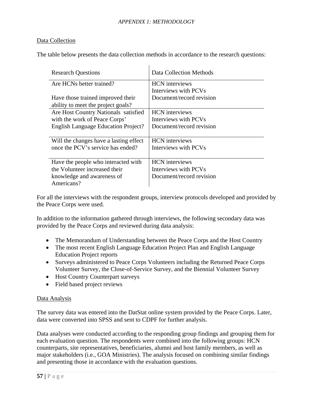#### *APPENDIX 1: METHODOLOGY*

#### Data Collection

The table below presents the data collection methods in accordance to the research questions:

 $\mathbf{I}$ 

| <b>Research Questions</b>                  | Data Collection Methods  |
|--------------------------------------------|--------------------------|
| Are HCNs better trained?                   | <b>HCN</b> interviews    |
|                                            | Interviews with PCVs     |
| Have those trained improved their          | Document/record revision |
| ability to meet the project goals?         |                          |
| Are Host Country Nationals satisfied       | <b>HCN</b> interviews    |
| with the work of Peace Corps'              | Interviews with PCVs     |
| <b>English Language Education Project?</b> | Document/record revision |
|                                            |                          |
| Will the changes have a lasting effect     | <b>HCN</b> interviews    |
| once the PCV's service has ended?          | Interviews with PCVs     |
|                                            |                          |
| Have the people who interacted with        | <b>HCN</b> interviews    |
| the Volunteer increased their              | Interviews with PCVs     |
| knowledge and awareness of                 | Document/record revision |
| Americans?                                 |                          |

For all the interviews with the respondent groups, interview protocols developed and provided by the Peace Corps were used.

In addition to the information gathered through interviews, the following secondary data was provided by the Peace Corps and reviewed during data analysis:

- The Memorandum of Understanding between the Peace Corps and the Host Country
- The most recent English Language Education Project Plan and English Language Education Project reports
- Surveys administered to Peace Corps Volunteers including the Returned Peace Corps Volunteer Survey, the Close-of-Service Survey, and the Biennial Volunteer Survey
- Host Country Counterpart surveys
- Field based project reviews

#### Data Analysis

The survey data was entered into the DatStat online system provided by the Peace Corps. Later, data were converted into SPSS and sent to CDPF for further analysis.

Data analyses were conducted according to the responding group findings and grouping them for each evaluation question. The respondents were combined into the following groups: HCN counterparts, site representatives, beneficiaries, alumni and host family members, as well as major stakeholders (i.e., GOA Ministries). The analysis focused on combining similar findings and presenting those in accordance with the evaluation questions.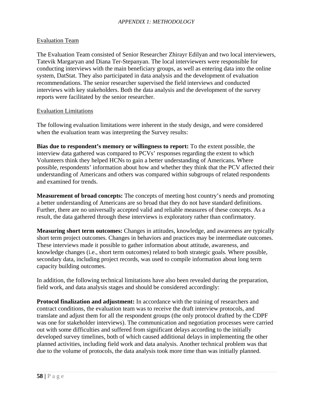### Evaluation Team

The Evaluation Team consisted of Senior Researcher Zhirayr Edilyan and two local interviewers, Tatevik Margaryan and Diana Ter-Stepanyan. The local interviewers were responsible for conducting interviews with the main beneficiary groups, as well as entering data into the online system, DatStat. They also participated in data analysis and the development of evaluation recommendations. The senior researcher supervised the field interviews and conducted interviews with key stakeholders. Both the data analysis and the development of the survey reports were facilitated by the senior researcher.

#### Evaluation Limitations

The following evaluation limitations were inherent in the study design, and were considered when the evaluation team was interpreting the Survey results:

**Bias due to respondent's memory or willingness to report:** To the extent possible, the interview data gathered was compared to PCVs' responses regarding the extent to which Volunteers think they helped HCNs to gain a better understanding of Americans. Where possible, respondents' information about how and whether they think that the PCV affected their understanding of Americans and others was compared within subgroups of related respondents and examined for trends.

**Measurement of broad concepts:** The concepts of meeting host country's needs and promoting a better understanding of Americans are so broad that they do not have standard definitions. Further, there are no universally accepted valid and reliable measures of these concepts. As a result, the data gathered through these interviews is exploratory rather than confirmatory.

**Measuring short term outcomes:** Changes in attitudes, knowledge, and awareness are typically short term project outcomes. Changes in behaviors and practices may be intermediate outcomes. These interviews made it possible to gather information about attitude, awareness, and knowledge changes (i.e., short term outcomes) related to both strategic goals. Where possible, secondary data, including project records, was used to compile information about long term capacity building outcomes.

In addition, the following technical limitations have also been revealed during the preparation, field work, and data analysis stages and should be considered accordingly:

**Protocol finalization and adjustment:** In accordance with the training of researchers and contract conditions, the evaluation team was to receive the draft interview protocols, and translate and adjust them for all the respondent groups (the only protocol drafted by the CDPF was one for stakeholder interviews). The communication and negotiation processes were carried out with some difficulties and suffered from significant delays according to the initially developed survey timelines, both of which caused additional delays in implementing the other planned activities, including field work and data analysis. Another technical problem was that due to the volume of protocols, the data analysis took more time than was initially planned.